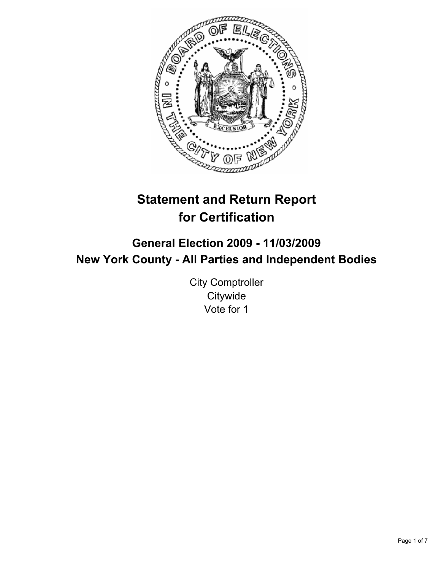

# **Statement and Return Report for Certification**

## **General Election 2009 - 11/03/2009 New York County - All Parties and Independent Bodies**

City Comptroller **Citywide** Vote for 1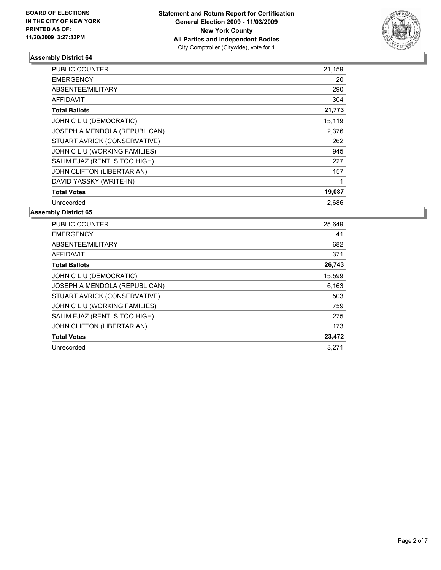

| <b>PUBLIC COUNTER</b>         | 21,159 |
|-------------------------------|--------|
| <b>EMERGENCY</b>              | 20     |
| ABSENTEE/MILITARY             | 290    |
| <b>AFFIDAVIT</b>              | 304    |
| <b>Total Ballots</b>          | 21,773 |
| JOHN C LIU (DEMOCRATIC)       | 15,119 |
| JOSEPH A MENDOLA (REPUBLICAN) | 2,376  |
| STUART AVRICK (CONSERVATIVE)  | 262    |
| JOHN C LIU (WORKING FAMILIES) | 945    |
| SALIM EJAZ (RENT IS TOO HIGH) | 227    |
| JOHN CLIFTON (LIBERTARIAN)    | 157    |
| DAVID YASSKY (WRITE-IN)       |        |
| <b>Total Votes</b>            | 19,087 |
| Unrecorded                    | 2,686  |

| <b>PUBLIC COUNTER</b>         | 25,649 |
|-------------------------------|--------|
| <b>EMERGENCY</b>              | 41     |
| ABSENTEE/MILITARY             | 682    |
| <b>AFFIDAVIT</b>              | 371    |
| <b>Total Ballots</b>          | 26,743 |
| JOHN C LIU (DEMOCRATIC)       | 15,599 |
| JOSEPH A MENDOLA (REPUBLICAN) | 6,163  |
| STUART AVRICK (CONSERVATIVE)  | 503    |
| JOHN C LIU (WORKING FAMILIES) | 759    |
| SALIM EJAZ (RENT IS TOO HIGH) | 275    |
| JOHN CLIFTON (LIBERTARIAN)    | 173    |
| <b>Total Votes</b>            | 23,472 |
| Unrecorded                    | 3.271  |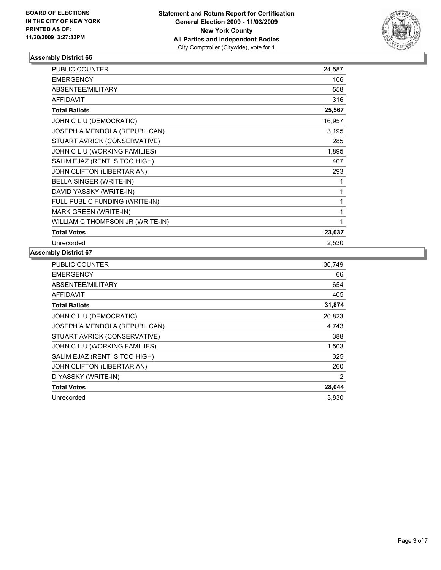

| <b>PUBLIC COUNTER</b>            | 24,587 |
|----------------------------------|--------|
| <b>EMERGENCY</b>                 | 106    |
| ABSENTEE/MILITARY                | 558    |
| <b>AFFIDAVIT</b>                 | 316    |
| <b>Total Ballots</b>             | 25,567 |
| JOHN C LIU (DEMOCRATIC)          | 16,957 |
| JOSEPH A MENDOLA (REPUBLICAN)    | 3,195  |
| STUART AVRICK (CONSERVATIVE)     | 285    |
| JOHN C LIU (WORKING FAMILIES)    | 1,895  |
| SALIM EJAZ (RENT IS TOO HIGH)    | 407    |
| JOHN CLIFTON (LIBERTARIAN)       | 293    |
| BELLA SINGER (WRITE-IN)          | 1      |
| DAVID YASSKY (WRITE-IN)          | 1      |
| FULL PUBLIC FUNDING (WRITE-IN)   | 1      |
| MARK GREEN (WRITE-IN)            | 1      |
| WILLIAM C THOMPSON JR (WRITE-IN) | 1      |
| <b>Total Votes</b>               | 23,037 |
| Unrecorded                       | 2,530  |

| <b>PUBLIC COUNTER</b>         | 30,749 |
|-------------------------------|--------|
| <b>EMERGENCY</b>              | 66     |
| <b>ABSENTEE/MILITARY</b>      | 654    |
| <b>AFFIDAVIT</b>              | 405    |
| <b>Total Ballots</b>          | 31,874 |
| JOHN C LIU (DEMOCRATIC)       | 20,823 |
| JOSEPH A MENDOLA (REPUBLICAN) | 4,743  |
| STUART AVRICK (CONSERVATIVE)  | 388    |
| JOHN C LIU (WORKING FAMILIES) | 1,503  |
| SALIM EJAZ (RENT IS TOO HIGH) | 325    |
| JOHN CLIFTON (LIBERTARIAN)    | 260    |
| D YASSKY (WRITE-IN)           | 2      |
| <b>Total Votes</b>            | 28,044 |
| Unrecorded                    | 3,830  |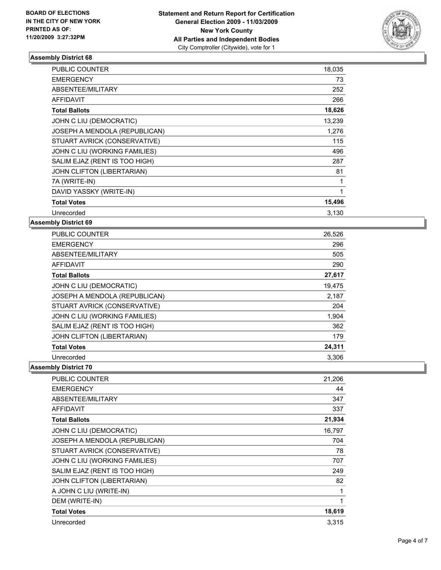

| PUBLIC COUNTER                | 18,035 |
|-------------------------------|--------|
| <b>EMERGENCY</b>              | 73     |
| ABSENTEE/MILITARY             | 252    |
| <b>AFFIDAVIT</b>              | 266    |
| <b>Total Ballots</b>          | 18,626 |
| JOHN C LIU (DEMOCRATIC)       | 13,239 |
| JOSEPH A MENDOLA (REPUBLICAN) | 1,276  |
| STUART AVRICK (CONSERVATIVE)  | 115    |
| JOHN C LIU (WORKING FAMILIES) | 496    |
| SALIM EJAZ (RENT IS TOO HIGH) | 287    |
| JOHN CLIFTON (LIBERTARIAN)    | 81     |
| 7A (WRITE-IN)                 | 1      |
| DAVID YASSKY (WRITE-IN)       | 1      |
| <b>Total Votes</b>            | 15,496 |
| Unrecorded                    | 3,130  |

#### **Assembly District 69**

| <b>PUBLIC COUNTER</b>         | 26,526 |
|-------------------------------|--------|
| <b>EMERGENCY</b>              | 296    |
| ABSENTEE/MILITARY             | 505    |
| <b>AFFIDAVIT</b>              | 290    |
| <b>Total Ballots</b>          | 27,617 |
| JOHN C LIU (DEMOCRATIC)       | 19,475 |
| JOSEPH A MENDOLA (REPUBLICAN) | 2,187  |
| STUART AVRICK (CONSERVATIVE)  | 204    |
| JOHN C LIU (WORKING FAMILIES) | 1,904  |
| SALIM EJAZ (RENT IS TOO HIGH) | 362    |
| JOHN CLIFTON (LIBERTARIAN)    | 179    |
| <b>Total Votes</b>            | 24,311 |
| Unrecorded                    | 3,306  |

| PUBLIC COUNTER                | 21,206 |
|-------------------------------|--------|
| <b>EMERGENCY</b>              | 44     |
| ABSENTEE/MILITARY             | 347    |
| <b>AFFIDAVIT</b>              | 337    |
| <b>Total Ballots</b>          | 21,934 |
| JOHN C LIU (DEMOCRATIC)       | 16,797 |
| JOSEPH A MENDOLA (REPUBLICAN) | 704    |
| STUART AVRICK (CONSERVATIVE)  | 78     |
| JOHN C LIU (WORKING FAMILIES) | 707    |
| SALIM EJAZ (RENT IS TOO HIGH) | 249    |
| JOHN CLIFTON (LIBERTARIAN)    | 82     |
| A JOHN C LIU (WRITE-IN)       | 1      |
| DEM (WRITE-IN)                | 1      |
| <b>Total Votes</b>            | 18,619 |
| Unrecorded                    | 3,315  |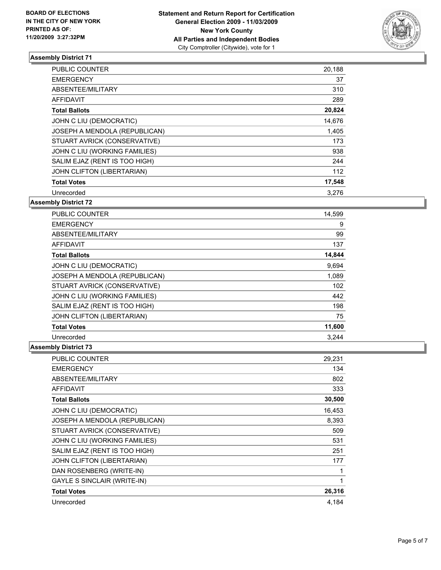

| PUBLIC COUNTER                | 20,188 |
|-------------------------------|--------|
| <b>EMERGENCY</b>              | 37     |
| ABSENTEE/MILITARY             | 310    |
| <b>AFFIDAVIT</b>              | 289    |
| <b>Total Ballots</b>          | 20,824 |
| JOHN C LIU (DEMOCRATIC)       | 14,676 |
| JOSEPH A MENDOLA (REPUBLICAN) | 1,405  |
| STUART AVRICK (CONSERVATIVE)  | 173    |
| JOHN C LIU (WORKING FAMILIES) | 938    |
| SALIM EJAZ (RENT IS TOO HIGH) | 244    |
| JOHN CLIFTON (LIBERTARIAN)    | 112    |
| <b>Total Votes</b>            | 17,548 |
| Unrecorded                    | 3,276  |

## **Assembly District 72**

| PUBLIC COUNTER                | 14,599 |
|-------------------------------|--------|
| <b>EMERGENCY</b>              | 9      |
| ABSENTEE/MILITARY             | 99     |
| <b>AFFIDAVIT</b>              | 137    |
| <b>Total Ballots</b>          | 14,844 |
| JOHN C LIU (DEMOCRATIC)       | 9,694  |
| JOSEPH A MENDOLA (REPUBLICAN) | 1,089  |
| STUART AVRICK (CONSERVATIVE)  | 102    |
| JOHN C LIU (WORKING FAMILIES) | 442    |
| SALIM EJAZ (RENT IS TOO HIGH) | 198    |
| JOHN CLIFTON (LIBERTARIAN)    | 75     |
| <b>Total Votes</b>            | 11,600 |
| Unrecorded                    | 3,244  |

| PUBLIC COUNTER                     | 29,231 |
|------------------------------------|--------|
| <b>EMERGENCY</b>                   | 134    |
| ABSENTEE/MILITARY                  | 802    |
| AFFIDAVIT                          | 333    |
| <b>Total Ballots</b>               | 30,500 |
| JOHN C LIU (DEMOCRATIC)            | 16,453 |
| JOSEPH A MENDOLA (REPUBLICAN)      | 8,393  |
| STUART AVRICK (CONSERVATIVE)       | 509    |
| JOHN C LIU (WORKING FAMILIES)      | 531    |
| SALIM EJAZ (RENT IS TOO HIGH)      | 251    |
| JOHN CLIFTON (LIBERTARIAN)         | 177    |
| DAN ROSENBERG (WRITE-IN)           | 1      |
| <b>GAYLE S SINCLAIR (WRITE-IN)</b> | 1      |
| <b>Total Votes</b>                 | 26,316 |
| Unrecorded                         | 4,184  |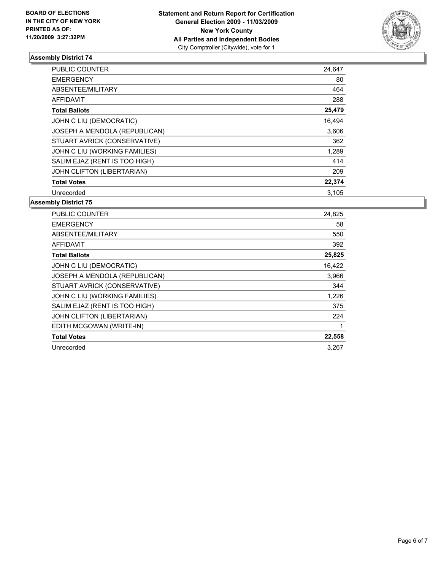

| <b>PUBLIC COUNTER</b>         | 24,647 |
|-------------------------------|--------|
| <b>EMERGENCY</b>              | 80     |
| ABSENTEE/MILITARY             | 464    |
| AFFIDAVIT                     | 288    |
| <b>Total Ballots</b>          | 25,479 |
| JOHN C LIU (DEMOCRATIC)       | 16,494 |
| JOSEPH A MENDOLA (REPUBLICAN) | 3,606  |
| STUART AVRICK (CONSERVATIVE)  | 362    |
| JOHN C LIU (WORKING FAMILIES) | 1,289  |
| SALIM EJAZ (RENT IS TOO HIGH) | 414    |
| JOHN CLIFTON (LIBERTARIAN)    | 209    |
| <b>Total Votes</b>            | 22,374 |
| Unrecorded                    | 3,105  |

| <b>PUBLIC COUNTER</b>         | 24,825 |
|-------------------------------|--------|
| <b>EMERGENCY</b>              | 58     |
| ABSENTEE/MILITARY             | 550    |
| <b>AFFIDAVIT</b>              | 392    |
| <b>Total Ballots</b>          | 25,825 |
| JOHN C LIU (DEMOCRATIC)       | 16,422 |
| JOSEPH A MENDOLA (REPUBLICAN) | 3,966  |
| STUART AVRICK (CONSERVATIVE)  | 344    |
| JOHN C LIU (WORKING FAMILIES) | 1,226  |
| SALIM EJAZ (RENT IS TOO HIGH) | 375    |
| JOHN CLIFTON (LIBERTARIAN)    | 224    |
| EDITH MCGOWAN (WRITE-IN)      | 1      |
| <b>Total Votes</b>            | 22,558 |
| Unrecorded                    | 3.267  |